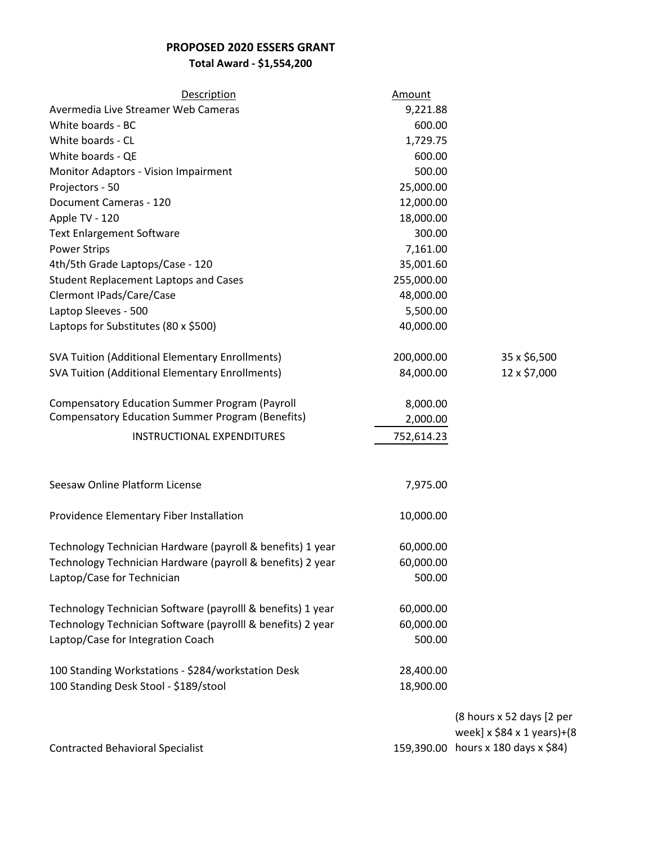## **PROPOSED 2020 ESSERS GRANT**

**Total Award - \$1,554,200**

| Description                                                 | Amount     |                                     |
|-------------------------------------------------------------|------------|-------------------------------------|
| Avermedia Live Streamer Web Cameras                         | 9,221.88   |                                     |
| White boards - BC                                           | 600.00     |                                     |
| White boards - CL                                           | 1,729.75   |                                     |
| White boards - QE                                           | 600.00     |                                     |
| Monitor Adaptors - Vision Impairment                        | 500.00     |                                     |
| Projectors - 50                                             | 25,000.00  |                                     |
| Document Cameras - 120                                      | 12,000.00  |                                     |
| Apple TV - 120                                              | 18,000.00  |                                     |
| <b>Text Enlargement Software</b>                            | 300.00     |                                     |
| <b>Power Strips</b>                                         | 7,161.00   |                                     |
| 4th/5th Grade Laptops/Case - 120                            | 35,001.60  |                                     |
| <b>Student Replacement Laptops and Cases</b>                | 255,000.00 |                                     |
| Clermont IPads/Care/Case                                    | 48,000.00  |                                     |
| Laptop Sleeves - 500                                        | 5,500.00   |                                     |
| Laptops for Substitutes (80 x \$500)                        | 40,000.00  |                                     |
|                                                             |            |                                     |
| <b>SVA Tuition (Additional Elementary Enrollments)</b>      | 200,000.00 | 35 x \$6,500                        |
| <b>SVA Tuition (Additional Elementary Enrollments)</b>      | 84,000.00  | 12 x \$7,000                        |
|                                                             |            |                                     |
| <b>Compensatory Education Summer Program (Payroll</b>       | 8,000.00   |                                     |
| <b>Compensatory Education Summer Program (Benefits)</b>     | 2,000.00   |                                     |
| INSTRUCTIONAL EXPENDITURES                                  | 752,614.23 |                                     |
|                                                             |            |                                     |
|                                                             |            |                                     |
| Seesaw Online Platform License                              | 7,975.00   |                                     |
|                                                             |            |                                     |
| Providence Elementary Fiber Installation                    | 10,000.00  |                                     |
|                                                             |            |                                     |
| Technology Technician Hardware (payroll & benefits) 1 year  | 60,000.00  |                                     |
| Technology Technician Hardware (payroll & benefits) 2 year  | 60,000.00  |                                     |
| Laptop/Case for Technician                                  | 500.00     |                                     |
|                                                             |            |                                     |
| Technology Technician Software (payrolll & benefits) 1 year | 60,000.00  |                                     |
| Technology Technician Software (payrolll & benefits) 2 year | 60,000.00  |                                     |
| Laptop/Case for Integration Coach                           | 500.00     |                                     |
|                                                             |            |                                     |
| 100 Standing Workstations - \$284/workstation Desk          | 28,400.00  |                                     |
| 100 Standing Desk Stool - \$189/stool                       | 18,900.00  |                                     |
|                                                             |            |                                     |
|                                                             |            | (8 hours x 52 days [2 per           |
|                                                             |            | week] $x$ \$84 $x$ 1 years)+(8      |
| <b>Contracted Behavioral Specialist</b>                     |            | 159,390.00 hours x 180 days x \$84) |
|                                                             |            |                                     |